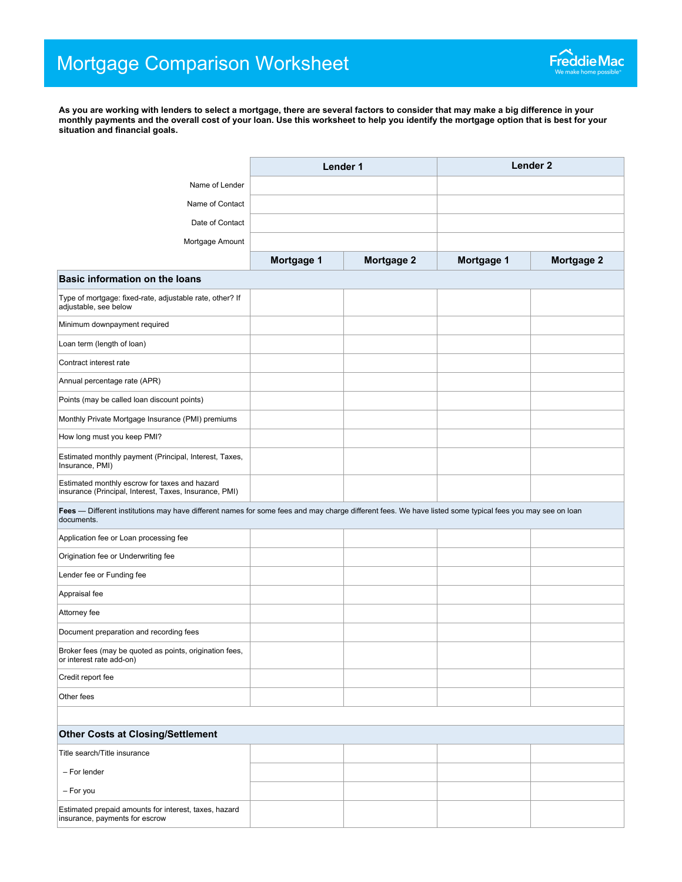**As you are working with lenders to select a mortgage, there are several factors to consider that may make a big difference in your monthly payments and the overall cost of your loan. Use this worksheet to help you identify the mortgage option that is best for your situation and financial goals.**

|                                                                                                                                                                        | Lender 1   |            | Lender <sub>2</sub> |            |
|------------------------------------------------------------------------------------------------------------------------------------------------------------------------|------------|------------|---------------------|------------|
| Name of Lender                                                                                                                                                         |            |            |                     |            |
| Name of Contact                                                                                                                                                        |            |            |                     |            |
| Date of Contact                                                                                                                                                        |            |            |                     |            |
| Mortgage Amount                                                                                                                                                        |            |            |                     |            |
|                                                                                                                                                                        | Mortgage 1 | Mortgage 2 | Mortgage 1          | Mortgage 2 |
| <b>Basic information on the loans</b>                                                                                                                                  |            |            |                     |            |
| Type of mortgage: fixed-rate, adjustable rate, other? If<br>adjustable, see below                                                                                      |            |            |                     |            |
| Minimum downpayment required                                                                                                                                           |            |            |                     |            |
| Loan term (length of loan)                                                                                                                                             |            |            |                     |            |
| Contract interest rate                                                                                                                                                 |            |            |                     |            |
| Annual percentage rate (APR)                                                                                                                                           |            |            |                     |            |
| Points (may be called loan discount points)                                                                                                                            |            |            |                     |            |
| Monthly Private Mortgage Insurance (PMI) premiums                                                                                                                      |            |            |                     |            |
| How long must you keep PMI?                                                                                                                                            |            |            |                     |            |
| Estimated monthly payment (Principal, Interest, Taxes,<br>Insurance, PMI)                                                                                              |            |            |                     |            |
| Estimated monthly escrow for taxes and hazard<br>insurance (Principal, Interest, Taxes, Insurance, PMI)                                                                |            |            |                     |            |
| Fees - Different institutions may have different names for some fees and may charge different fees. We have listed some typical fees you may see on loan<br>documents. |            |            |                     |            |
| Application fee or Loan processing fee                                                                                                                                 |            |            |                     |            |
| Origination fee or Underwriting fee                                                                                                                                    |            |            |                     |            |
| Lender fee or Funding fee                                                                                                                                              |            |            |                     |            |
| Appraisal fee                                                                                                                                                          |            |            |                     |            |
| Attorney fee                                                                                                                                                           |            |            |                     |            |
| Document preparation and recording fees                                                                                                                                |            |            |                     |            |
| Broker fees (may be quoted as points, origination fees,<br>or interest rate add-on)                                                                                    |            |            |                     |            |
| Credit report fee                                                                                                                                                      |            |            |                     |            |
| Other fees                                                                                                                                                             |            |            |                     |            |
|                                                                                                                                                                        |            |            |                     |            |
| <b>Other Costs at Closing/Settlement</b>                                                                                                                               |            |            |                     |            |
| Title search/Title insurance                                                                                                                                           |            |            |                     |            |
| - For lender                                                                                                                                                           |            |            |                     |            |
| - For you                                                                                                                                                              |            |            |                     |            |
| Estimated prepaid amounts for interest, taxes, hazard<br>insurance, payments for escrow                                                                                |            |            |                     |            |